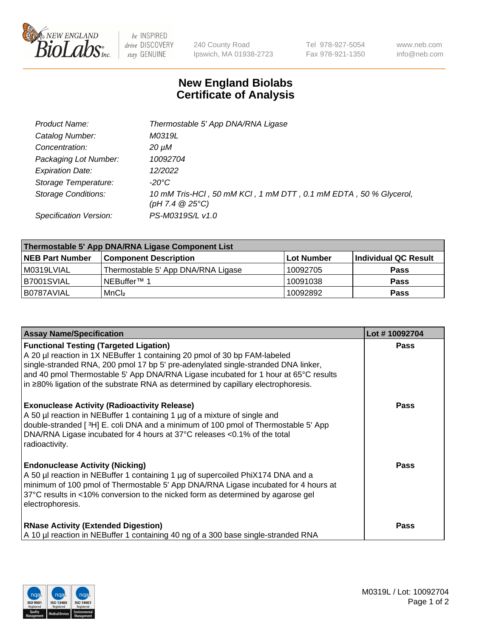

 $be$  INSPIRED drive DISCOVERY stay GENUINE

240 County Road Ipswich, MA 01938-2723 Tel 978-927-5054 Fax 978-921-1350 www.neb.com info@neb.com

## **New England Biolabs Certificate of Analysis**

| Product Name:              | Thermostable 5' App DNA/RNA Ligase                                                    |
|----------------------------|---------------------------------------------------------------------------------------|
| Catalog Number:            | M0319L                                                                                |
| Concentration:             | 20 µM                                                                                 |
| Packaging Lot Number:      | 10092704                                                                              |
| <b>Expiration Date:</b>    | 12/2022                                                                               |
| Storage Temperature:       | -20°C                                                                                 |
| <b>Storage Conditions:</b> | 10 mM Tris-HCl, 50 mM KCl, 1 mM DTT, 0.1 mM EDTA, 50 % Glycerol,<br>(pH 7.4 $@25°C$ ) |
| Specification Version:     | PS-M0319S/L v1.0                                                                      |

| Thermostable 5' App DNA/RNA Ligase Component List |                                    |             |                      |  |
|---------------------------------------------------|------------------------------------|-------------|----------------------|--|
| <b>NEB Part Number</b>                            | <b>Component Description</b>       | ∣Lot Number | Individual QC Result |  |
| M0319LVIAL                                        | Thermostable 5' App DNA/RNA Ligase | 10092705    | <b>Pass</b>          |  |
| B7001SVIAL                                        | NEBuffer™ 1                        | 10091038    | <b>Pass</b>          |  |
| B0787AVIAL                                        | MnCl <sub>2</sub>                  | 10092892    | <b>Pass</b>          |  |

| <b>Assay Name/Specification</b>                                                                                                                                                                                                                                                                                                                                                                 | Lot #10092704 |
|-------------------------------------------------------------------------------------------------------------------------------------------------------------------------------------------------------------------------------------------------------------------------------------------------------------------------------------------------------------------------------------------------|---------------|
| <b>Functional Testing (Targeted Ligation)</b><br>A 20 µl reaction in 1X NEBuffer 1 containing 20 pmol of 30 bp FAM-labeled<br>single-stranded RNA, 200 pmol 17 bp 5' pre-adenylated single-stranded DNA linker,<br>and 40 pmol Thermostable 5' App DNA/RNA Ligase incubated for 1 hour at 65°C results<br>$\ln 280\%$ ligation of the substrate RNA as determined by capillary electrophoresis. | <b>Pass</b>   |
| <b>Exonuclease Activity (Radioactivity Release)</b><br>A 50 µl reaction in NEBuffer 1 containing 1 µg of a mixture of single and<br>double-stranded [3H] E. coli DNA and a minimum of 100 pmol of Thermostable 5' App<br>DNA/RNA Ligase incubated for 4 hours at 37°C releases <0.1% of the total<br>radioactivity.                                                                             | <b>Pass</b>   |
| <b>Endonuclease Activity (Nicking)</b><br>A 50 µl reaction in NEBuffer 1 containing 1 µg of supercoiled PhiX174 DNA and a<br>minimum of 100 pmol of Thermostable 5' App DNA/RNA Ligase incubated for 4 hours at<br>37°C results in <10% conversion to the nicked form as determined by agarose gel<br>electrophoresis.                                                                          | Pass          |
| <b>RNase Activity (Extended Digestion)</b><br>A 10 µl reaction in NEBuffer 1 containing 40 ng of a 300 base single-stranded RNA                                                                                                                                                                                                                                                                 | <b>Pass</b>   |